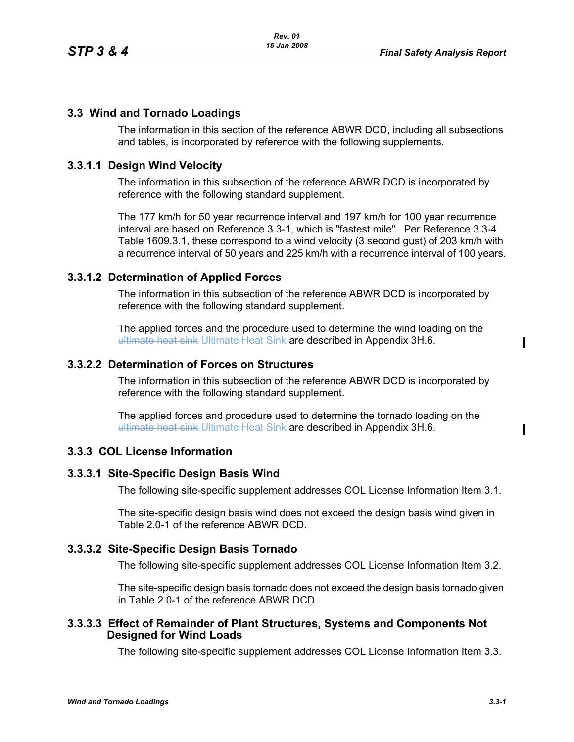# **3.3 Wind and Tornado Loadings**

The information in this section of the reference ABWR DCD, including all subsections and tables, is incorporated by reference with the following supplements.

## **3.3.1.1 Design Wind Velocity**

The information in this subsection of the reference ABWR DCD is incorporated by reference with the following standard supplement.

The 177 km/h for 50 year recurrence interval and 197 km/h for 100 year recurrence interval are based on Reference 3.3-1, which is "fastest mile". Per Reference 3.3-4 Table 1609.3.1, these correspond to a wind velocity (3 second gust) of 203 km/h with a recurrence interval of 50 years and 225 km/h with a recurrence interval of 100 years.

## **3.3.1.2 Determination of Applied Forces**

The information in this subsection of the reference ABWR DCD is incorporated by reference with the following standard supplement.

The applied forces and the procedure used to determine the wind loading on the ultimate heat sink Ultimate Heat Sink are described in Appendix 3H.6.

#### **3.3.2.2 Determination of Forces on Structures**

The information in this subsection of the reference ABWR DCD is incorporated by reference with the following standard supplement.

The applied forces and procedure used to determine the tornado loading on the ultimate heat sink Ultimate Heat Sink are described in Appendix 3H.6.

## **3.3.3 COL License Information**

#### **3.3.3.1 Site-Specific Design Basis Wind**

The following site-specific supplement addresses COL License Information Item 3.1.

The site-specific design basis wind does not exceed the design basis wind given in Table 2.0-1 of the reference ABWR DCD.

## **3.3.3.2 Site-Specific Design Basis Tornado**

The following site-specific supplement addresses COL License Information Item 3.2.

The site-specific design basis tornado does not exceed the design basis tornado given in Table 2.0-1 of the reference ABWR DCD.

#### **3.3.3.3 Effect of Remainder of Plant Structures, Systems and Components Not Designed for Wind Loads**

The following site-specific supplement addresses COL License Information Item 3.3.

Ι